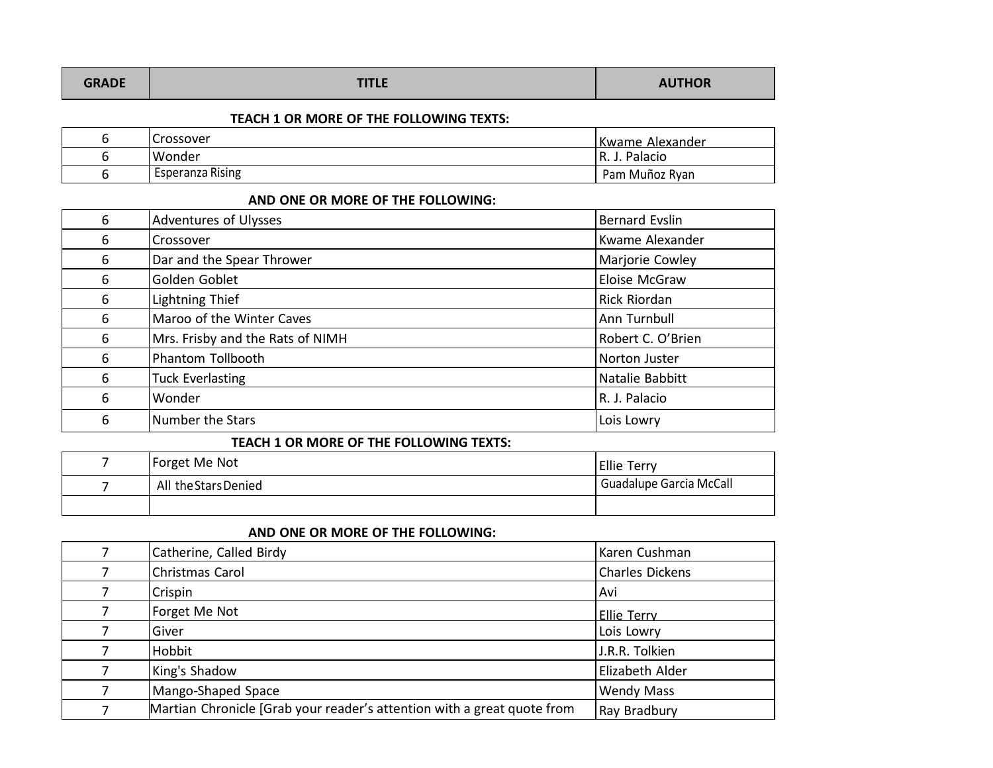| <b>GRADE</b> | <b>TITLE</b> | <b>AUTHOR</b> |
|--------------|--------------|---------------|
|              |              |               |

### **TEACH 1 OR MORE OF THE FOLLOWING TEXTS:**

| ∽<br>۰<br>ີ | Crossover               | lKwame Alexander |
|-------------|-------------------------|------------------|
| ີ           | Wonder                  | R. J. Palacio    |
|             | <b>Esperanza Rising</b> | Pam Muñoz Ryan   |

#### **AND ONE OR MORE OF THE FOLLOWING:**

| 6 | Adventures of Ulysses            | <b>Bernard Evslin</b> |
|---|----------------------------------|-----------------------|
| 6 | Crossover                        | Kwame Alexander       |
| 6 | Dar and the Spear Thrower        | Marjorie Cowley       |
| 6 | Golden Goblet                    | Eloise McGraw         |
| 6 | Lightning Thief                  | Rick Riordan          |
| 6 | Maroo of the Winter Caves        | Ann Turnbull          |
| 6 | Mrs. Frisby and the Rats of NIMH | Robert C. O'Brien     |
| 6 | Phantom Tollbooth                | Norton Juster         |
| 6 | <b>Tuck Everlasting</b>          | Natalie Babbitt       |
| 6 | Wonder                           | R. J. Palacio         |
| 6 | Number the Stars                 | Lois Lowry            |

#### **TEACH 1 OR MORE OF THE FOLLOWING TEXTS:**

| - | Forget Me Not        | <b>Ellie Terry</b>      |
|---|----------------------|-------------------------|
|   | All the Stars Denied | Guadalupe Garcia McCall |
|   |                      |                         |

# **AND ONE OR MORE OF THE FOLLOWING:**

|   | Catherine, Called Birdy                                                 | Karen Cushman          |
|---|-------------------------------------------------------------------------|------------------------|
|   | Christmas Carol                                                         | <b>Charles Dickens</b> |
|   | Crispin                                                                 | Avi                    |
|   | Forget Me Not                                                           | <b>Ellie Terry</b>     |
|   | Giver                                                                   | Lois Lowry             |
|   | Hobbit                                                                  | J.R.R. Tolkien         |
|   | King's Shadow                                                           | Elizabeth Alder        |
| 7 | Mango-Shaped Space                                                      | <b>Wendy Mass</b>      |
| 7 | Martian Chronicle [Grab your reader's attention with a great quote from | Ray Bradbury           |